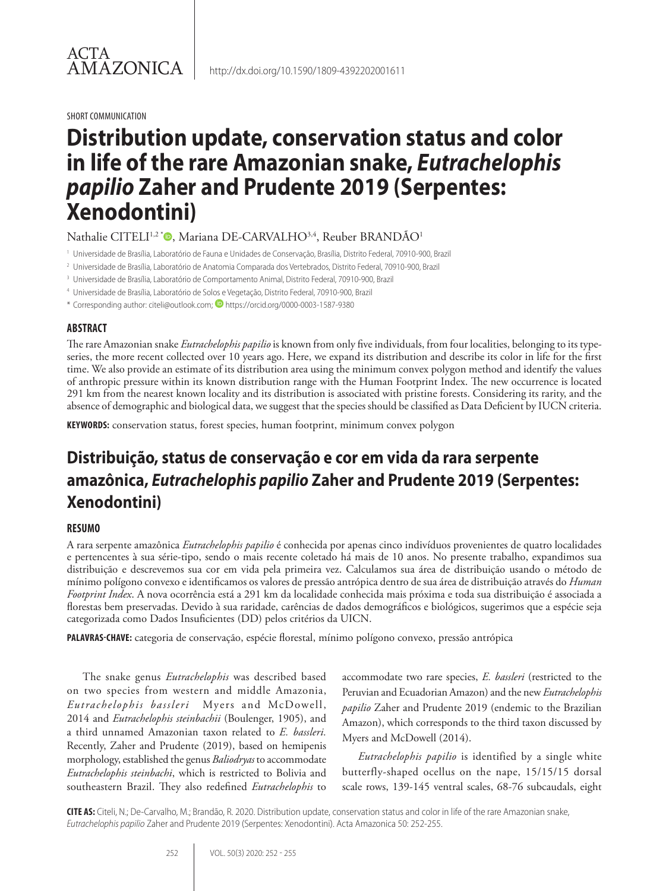SHORT COMMUNICATION

# **Distribution update, conservation status and color in life of the rare Amazonian snake,** *Eutrachelophis papilio* **Zaher and Prudente 2019 (Serpentes: Xenodontini)**

Nathalie CITELI<sup>1,2\*</sup><sup>®</sup>, Mariana DE-CARVALHO<sup>3,4</sup>, Reuber BRANDÃO<sup>1</sup>

- <sup>1</sup> Universidade de Brasília, Laboratório de Fauna e Unidades de Conservação, Brasília, Distrito Federal, 70910-900, Brazil
- <sup>2</sup> Universidade de Brasília, Laboratório de Anatomia Comparada dos Vertebrados, Distrito Federal, 70910-900, Brazil
- <sup>3</sup> Universidade de Brasília, Laboratório de Comportamento Animal, Distrito Federal, 70910-900, Brazil
- <sup>4</sup> Universidade de Brasília, Laboratório de Solos e Vegetação, Distrito Federal, 70910-900, Brazil
- \* Corresponding author: citeli@outlook.com; D https://orcid.org/0000-0003-1587-9380

#### **ABSTRACT**

The rare Amazonian snake *Eutrachelophis papilio* is known from only five individuals, from four localities, belonging to its typeseries, the more recent collected over 10 years ago. Here, we expand its distribution and describe its color in life for the first time. We also provide an estimate of its distribution area using the minimum convex polygon method and identify the values of anthropic pressure within its known distribution range with the Human Footprint Index. The new occurrence is located 291 km from the nearest known locality and its distribution is associated with pristine forests. Considering its rarity, and the absence of demographic and biological data, we suggest that the species should be classified as Data Deficient by IUCN criteria.

**KEYWORDS:** conservation status, forest species, human footprint, minimum convex polygon

## **Distribuição, status de conservação e cor em vida da rara serpente amazônica,** *Eutrachelophis papilio* **Zaher and Prudente 2019 (Serpentes: Xenodontini)**

#### **RESUMO**

A rara serpente amazônica *Eutrachelophis papilio* é conhecida por apenas cinco indivíduos provenientes de quatro localidades e pertencentes à sua série-tipo, sendo o mais recente coletado há mais de 10 anos. No presente trabalho, expandimos sua distribuição e descrevemos sua cor em vida pela primeira vez. Calculamos sua área de distribuição usando o método de mínimo polígono convexo e identificamos os valores de pressão antrópica dentro de sua área de distribuição através do *Human Footprint Index*. A nova ocorrência está a 291 km da localidade conhecida mais próxima e toda sua distribuição é associada a florestas bem preservadas. Devido à sua raridade, carências de dados demográficos e biológicos, sugerimos que a espécie seja categorizada como Dados Insuficientes (DD) pelos critérios da UICN.

**PALAVRAS-CHAVE:** categoria de conservação, espécie florestal, mínimo polígono convexo, pressão antrópica

The snake genus *Eutrachelophis* was described based on two species from western and middle Amazonia, *Eutrachelophis bassleri* Myers and McDowell, 2014 and *Eutrachelophis steinbachii* (Boulenger, 1905), and a third unnamed Amazonian taxon related to *E. bassleri.*  Recently, Zaher and Prudente (2019), based on hemipenis morphology, established the genus *Baliodryas* to accommodate *Eutrachelophis steinbachi*, which is restricted to Bolivia and southeastern Brazil. They also redefined *Eutrachelophis* to

accommodate two rare species, *E. bassleri* (restricted to the Peruvian and Ecuadorian Amazon) and the new *Eutrachelophis papilio* Zaher and Prudente 2019 (endemic to the Brazilian Amazon), which corresponds to the third taxon discussed by Myers and McDowell (2014).

*Eutrachelophis papilio* is identified by a single white butterfly-shaped ocellus on the nape, 15/15/15 dorsal scale rows, 139-145 ventral scales, 68-76 subcaudals, eight

**CITE AS:** Citeli, N.; De-Carvalho, M.; Brandão, R. 2020. Distribution update, conservation status and color in life of the rare Amazonian snake, *Eutrachelophis papilio* Zaher and Prudente 2019 (Serpentes: Xenodontini). Acta Amazonica 50: 252-255.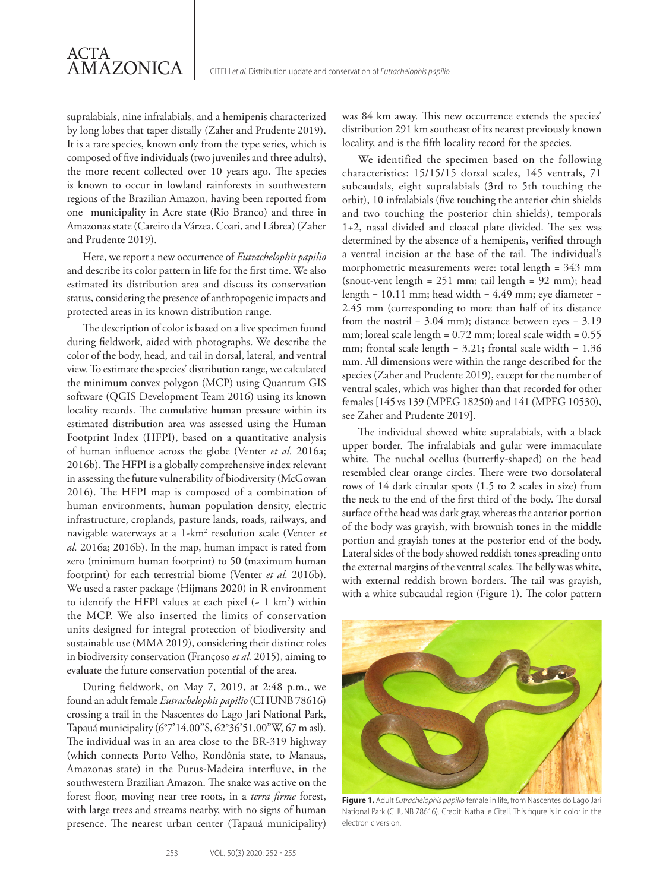supralabials, nine infralabials, and a hemipenis characterized by long lobes that taper distally (Zaher and Prudente 2019). It is a rare species, known only from the type series, which is composed of five individuals (two juveniles and three adults), the more recent collected over 10 years ago. The species is known to occur in lowland rainforests in southwestern regions of the Brazilian Amazon, having been reported from one municipality in Acre state (Rio Branco) and three in Amazonas state (Careiro da Várzea, Coari, and Lábrea) (Zaher and Prudente 2019).

ACTA

AMAZONICA

Here, we report a new occurrence of *Eutrachelophis papilio*  and describe its color pattern in life for the first time. We also estimated its distribution area and discuss its conservation status, considering the presence of anthropogenic impacts and protected areas in its known distribution range.

The description of color is based on a live specimen found during fieldwork, aided with photographs. We describe the color of the body, head, and tail in dorsal, lateral, and ventral view. To estimate the species' distribution range, we calculated the minimum convex polygon (MCP) using Quantum GIS software (QGIS Development Team 2016) using its known locality records. The cumulative human pressure within its estimated distribution area was assessed using the Human Footprint Index (HFPI), based on a quantitative analysis of human influence across the globe (Venter *et al.* 2016a; 2016b). The HFPI is a globally comprehensive index relevant in assessing the future vulnerability of biodiversity (McGowan 2016). The HFPI map is composed of a combination of human environments, human population density, electric infrastructure, croplands, pasture lands, roads, railways, and navigable waterways at a 1-km2 resolution scale (Venter *et al.* 2016a; 2016b). In the map, human impact is rated from zero (minimum human footprint) to 50 (maximum human footprint) for each terrestrial biome (Venter *et al.* 2016b). We used a raster package (Hijmans 2020) in R environment to identify the HFPI values at each pixel  $(-1 \text{ km}^2)$  within the MCP. We also inserted the limits of conservation units designed for integral protection of biodiversity and sustainable use (MMA 2019), considering their distinct roles in biodiversity conservation (Françoso *et al.* 2015), aiming to evaluate the future conservation potential of the area.

During fieldwork, on May 7, 2019, at 2:48 p.m., we found an adult female *Eutrachelophis papilio* (CHUNB 78616) crossing a trail in the Nascentes do Lago Jari National Park, Tapauá municipality (6°7'14.00"S, 62°36'51.00"W, 67 m asl). The individual was in an area close to the BR-319 highway (which connects Porto Velho, Rondônia state, to Manaus, Amazonas state) in the Purus-Madeira interfluve, in the southwestern Brazilian Amazon. The snake was active on the forest floor, moving near tree roots, in a *terra firme* forest, with large trees and streams nearby, with no signs of human presence. The nearest urban center (Tapauá municipality)

was 84 km away. This new occurrence extends the species' distribution 291 km southeast of its nearest previously known locality, and is the fifth locality record for the species.

We identified the specimen based on the following characteristics: 15/15/15 dorsal scales, 145 ventrals, 71 subcaudals, eight supralabials (3rd to 5th touching the orbit), 10 infralabials (five touching the anterior chin shields and two touching the posterior chin shields), temporals 1+2, nasal divided and cloacal plate divided. The sex was determined by the absence of a hemipenis, verified through a ventral incision at the base of the tail. The individual's morphometric measurements were: total length = 343 mm (snout-vent length =  $251$  mm; tail length =  $92$  mm); head length =  $10.11$  mm; head width =  $4.49$  mm; eye diameter = 2.45 mm (corresponding to more than half of its distance from the nostril =  $3.04$  mm); distance between eyes =  $3.19$ mm; loreal scale length =  $0.72$  mm; loreal scale width =  $0.55$ mm; frontal scale length = 3.21; frontal scale width = 1.36 mm. All dimensions were within the range described for the species (Zaher and Prudente 2019), except for the number of ventral scales, which was higher than that recorded for other females [145 vs 139 (MPEG 18250) and 141 (MPEG 10530), see Zaher and Prudente 2019].

The individual showed white supralabials, with a black upper border. The infralabials and gular were immaculate white. The nuchal ocellus (butterfly-shaped) on the head resembled clear orange circles. There were two dorsolateral rows of 14 dark circular spots (1.5 to 2 scales in size) from the neck to the end of the first third of the body. The dorsal surface of the head was dark gray, whereas the anterior portion of the body was grayish, with brownish tones in the middle portion and grayish tones at the posterior end of the body. Lateral sides of the body showed reddish tones spreading onto the external margins of the ventral scales. The belly was white, with external reddish brown borders. The tail was grayish, with a white subcaudal region (Figure 1). The color pattern



**Figure 1.** Adult *Eutrachelophis papilio* female in life, from Nascentes do Lago Jari National Park (CHUNB 78616). Credit: Nathalie Citeli. This figure is in color in the electronic version.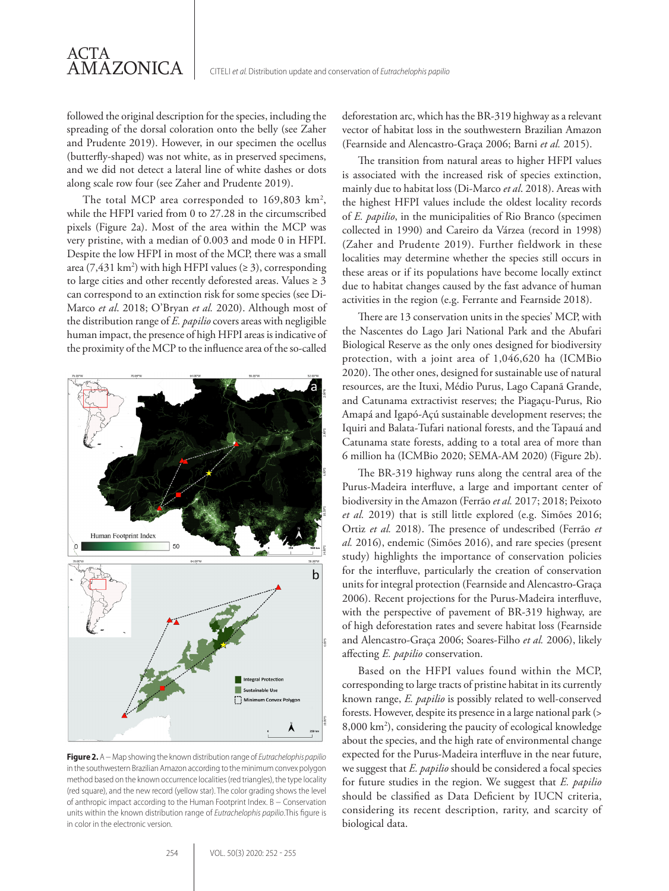followed the original description for the species, including the spreading of the dorsal coloration onto the belly (see Zaher and Prudente 2019). However, in our specimen the ocellus (butterfly-shaped) was not white, as in preserved specimens, and we did not detect a lateral line of white dashes or dots along scale row four (see Zaher and Prudente 2019).

ACTA

AMAZONICA

The total MCP area corresponded to  $169,803 \text{ km}^2$ , while the HFPI varied from 0 to 27.28 in the circumscribed pixels (Figure 2a). Most of the area within the MCP was very pristine, with a median of 0.003 and mode 0 in HFPI. Despite the low HFPI in most of the MCP, there was a small area (7,431 km<sup>2</sup>) with high HFPI values ( $\geq$  3), corresponding to large cities and other recently deforested areas. Values  $\geq 3$ can correspond to an extinction risk for some species (see Di-Marco *et al*. 2018; O'Bryan *et al.* 2020). Although most of the distribution range of *E. papilio* covers areas with negligible human impact, the presence of high HFPI areas is indicative of the proximity of the MCP to the influence area of the so-called



**Figure 2.** A − Map showing the known distribution range of *Eutrachelophis papilio* in the southwestern Brazilian Amazon according to the minimum convex polygon method based on the known occurrence localities (red triangles), the type locality (red square), and the new record (yellow star). The color grading shows the level of anthropic impact according to the Human Footprint Index. B − Conservation units within the known distribution range of *Eutrachelophis papilio*.This figure is in color in the electronic version.

deforestation arc, which has the BR-319 highway as a relevant vector of habitat loss in the southwestern Brazilian Amazon (Fearnside and Alencastro-Graça 2006; Barni *et al.* 2015).

The transition from natural areas to higher HFPI values is associated with the increased risk of species extinction, mainly due to habitat loss (Di-Marco *et al*. 2018). Areas with the highest HFPI values include the oldest locality records of *E. papilio*, in the municipalities of Rio Branco (specimen collected in 1990) and Careiro da Várzea (record in 1998) (Zaher and Prudente 2019). Further fieldwork in these localities may determine whether the species still occurs in these areas or if its populations have become locally extinct due to habitat changes caused by the fast advance of human activities in the region (e.g. Ferrante and Fearnside 2018).

There are 13 conservation units in the species' MCP, with the Nascentes do Lago Jari National Park and the Abufari Biological Reserve as the only ones designed for biodiversity protection, with a joint area of 1,046,620 ha (ICMBio 2020). The other ones, designed for sustainable use of natural resources, are the Ituxi, Médio Purus, Lago Capanã Grande, and Catunama extractivist reserves; the Piagaçu-Purus, Rio Amapá and Igapó-Açú sustainable development reserves; the Iquiri and Balata-Tufari national forests, and the Tapauá and Catunama state forests, adding to a total area of more than 6 million ha (ICMBio 2020; SEMA-AM 2020) (Figure 2b).

The BR-319 highway runs along the central area of the Purus-Madeira interfluve, a large and important center of biodiversity in the Amazon (Ferrão *et al.* 2017; 2018; Peixoto *et al.* 2019) that is still little explored (e.g. Simões 2016; Ortiz *et al.* 2018). The presence of undescribed (Ferrão *et al.* 2016), endemic (Simões 2016), and rare species (present study) highlights the importance of conservation policies for the interfluve, particularly the creation of conservation units for integral protection (Fearnside and Alencastro-Graça 2006). Recent projections for the Purus-Madeira interfluve, with the perspective of pavement of BR-319 highway, are of high deforestation rates and severe habitat loss (Fearnside and Alencastro-Graça 2006; Soares-Filho *et al.* 2006), likely affecting *E. papilio* conservation.

Based on the HFPI values found within the MCP, corresponding to large tracts of pristine habitat in its currently known range, *E. papilio* is possibly related to well-conserved forests. However, despite its presence in a large national park (> 8,000 km2 ), considering the paucity of ecological knowledge about the species, and the high rate of environmental change expected for the Purus-Madeira interfluve in the near future, we suggest that *E. papilio* should be considered a focal species for future studies in the region. We suggest that *E. papilio* should be classified as Data Deficient by IUCN criteria, considering its recent description, rarity, and scarcity of biological data.